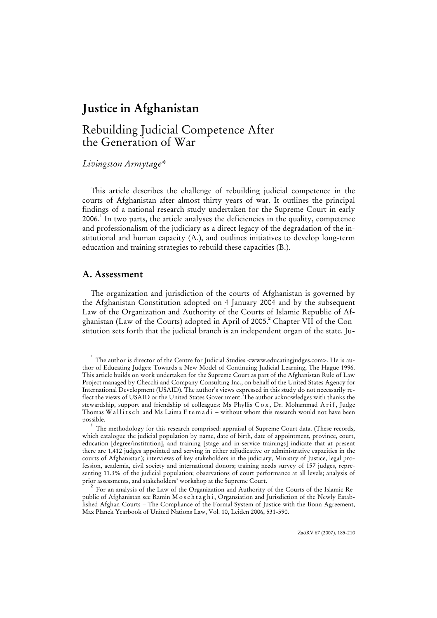## Rebuilding Judicial Competence After the Generation of War

*Livingston Armytage\** 

This article describes the challenge of rebuilding judicial competence in the courts of Afghanistan after almost thirty years of war. It outlines the principal findings of a national research study undertaken for the Supreme Court in early 2006. $<sup>1</sup>$  In two parts, the article analyses the deficiencies in the quality, competence</sup> and professionalism of the judiciary as a direct legacy of the degradation of the institutional and human capacity (A.), and outlines initiatives to develop long-term education and training strategies to rebuild these capacities (B.).

## **A. Assessment**

The organization and jurisdiction of the courts of Afghanistan is governed by the Afghanistan Constitution adopted on 4 January 2004 and by the subsequent Law of the Organization and Authority of the Courts of Islamic Republic of Afghanistan (Law of the Courts) adopted in April of 2005.<sup>2</sup> Chapter VII of the Constitution sets forth that the judicial branch is an independent organ of the state. Ju-

 <sup>\*</sup> The author is director of the Centre for Judicial Studies <www.educatingjudges.com>. He is author of Educating Judges: Towards a New Model of Continuing Judicial Learning, The Hague 1996. This article builds on work undertaken for the Supreme Court as part of the Afghanistan Rule of Law Project managed by Checchi and Company Consulting Inc., on behalf of the United States Agency for International Development (USAID). The author's views expressed in this study do not necessarily reflect the views of USAID or the United States Government. The author acknowledges with thanks the stewardship, support and friendship of colleagues: Ms Phyllis Cox, Dr. Mohammad A r if, Judge Thomas Wallits ch and Ms Laima E tem a  $\overline{d}$  i – without whom this research would not have been possible.

<sup>1</sup> The methodology for this research comprised: appraisal of Supreme Court data. (These records, which catalogue the judicial population by name, date of birth, date of appointment, province, court, education [degree/institution], and training [stage and in-service trainings] indicate that at present there are 1,412 judges appointed and serving in either adjudicative or administrative capacities in the courts of Afghanistan); interviews of key stakeholders in the judiciary, Ministry of Justice, legal profession, academia, civil society and international donors; training needs survey of 157 judges, representing 11.3% of the judicial population; observations of court performance at all levels; analysis of

prior assessments, and stakeholders' workshop at the Supreme Court.<br><sup>2</sup> For an analysis of the Law of the Organization and Authority of the Courts of the Islamic Republic of Afghanistan see Ramin M o s c h t a g h i, Organsiation and Jurisdiction of the Newly Established Afghan Courts – The Compliance of the Formal System of Justice with the Bonn Agreement, Max Planck Yearbook of United Nations Law, Vol. 10, Leiden 2006, 531-590.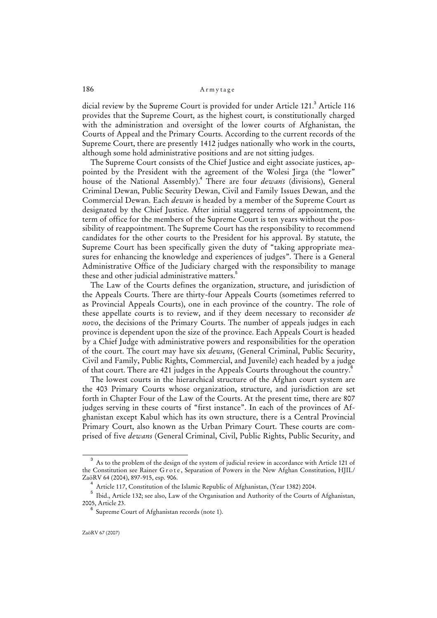dicial review by the Supreme Court is provided for under Article 121.<sup>3</sup> Article 116 provides that the Supreme Court, as the highest court, is constitutionally charged with the administration and oversight of the lower courts of Afghanistan, the Courts of Appeal and the Primary Courts. According to the current records of the Supreme Court, there are presently 1412 judges nationally who work in the courts, although some hold administrative positions and are not sitting judges.

The Supreme Court consists of the Chief Justice and eight associate justices, appointed by the President with the agreement of the Wolesi Jirga (the "lower" house of the National Assembly).<sup>4</sup> There are four *dewans* (divisions), General Criminal Dewan, Public Security Dewan, Civil and Family Issues Dewan, and the Commercial Dewan. Each *dewan* is headed by a member of the Supreme Court as designated by the Chief Justice. After initial staggered terms of appointment, the term of office for the members of the Supreme Court is ten years without the possibility of reappointment. The Supreme Court has the responsibility to recommend candidates for the other courts to the President for his approval. By statute, the Supreme Court has been specifically given the duty of "taking appropriate measures for enhancing the knowledge and experiences of judges". There is a General Administrative Office of the Judiciary charged with the responsibility to manage these and other judicial administrative matters.<sup>5</sup>

The Law of the Courts defines the organization, structure, and jurisdiction of the Appeals Courts. There are thirty-four Appeals Courts (sometimes referred to as Provincial Appeals Courts), one in each province of the country. The role of these appellate courts is to review, and if they deem necessary to reconsider *de novo*, the decisions of the Primary Courts. The number of appeals judges in each province is dependent upon the size of the province. Each Appeals Court is headed by a Chief Judge with administrative powers and responsibilities for the operation of the court. The court may have six *dewans*, (General Criminal, Public Security, Civil and Family, Public Rights, Commercial, and Juvenile) each headed by a judge of that court. There are 421 judges in the Appeals Courts throughout the country.<sup>6</sup>

The lowest courts in the hierarchical structure of the Afghan court system are the 403 Primary Courts whose organization, structure, and jurisdiction are set forth in Chapter Four of the Law of the Courts. At the present time, there are 807 judges serving in these courts of "first instance". In each of the provinces of Afghanistan except Kabul which has its own structure, there is a Central Provincial Primary Court, also known as the Urban Primary Court. These courts are comprised of five *dewans* (General Criminal, Civil, Public Rights, Public Security, and

<sup>3</sup> As to the problem of the design of the system of judicial review in accordance with Article 121 of the Constitution see Rainer Grote, Separation of Powers in the New Afghan Constitution, HJIL/ ZaöRV 64 (2004), 897-915, esp. 906.

<sup>&</sup>lt;sup>4</sup> Article 117, Constitution of the Islamic Republic of Afghanistan, (Year 1382) 2004.

 $^{\rm 5}$  Ibid., Article 132; see also, Law of the Organisation and Authority of the Courts of Afghanistan, 2005, Article 23.

<sup>6</sup> Supreme Court of Afghanistan records (note 1).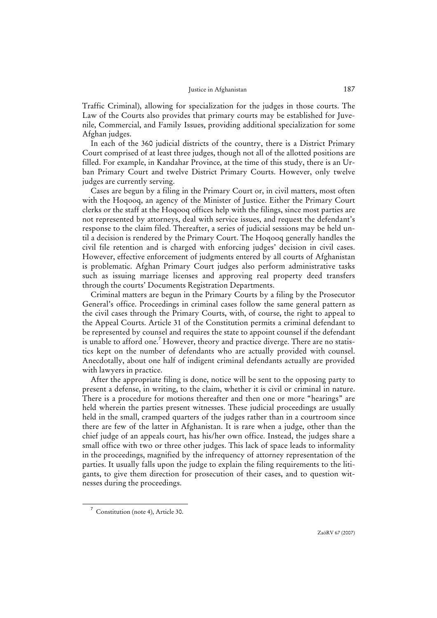Traffic Criminal), allowing for specialization for the judges in those courts. The Law of the Courts also provides that primary courts may be established for Juvenile, Commercial, and Family Issues, providing additional specialization for some Afghan judges.

In each of the 360 judicial districts of the country, there is a District Primary Court comprised of at least three judges, though not all of the allotted positions are filled. For example, in Kandahar Province, at the time of this study, there is an Urban Primary Court and twelve District Primary Courts. However, only twelve judges are currently serving.

Cases are begun by a filing in the Primary Court or, in civil matters, most often with the Hoqooq, an agency of the Minister of Justice. Either the Primary Court clerks or the staff at the Hoqooq offices help with the filings, since most parties are not represented by attorneys, deal with service issues, and request the defendant's response to the claim filed. Thereafter, a series of judicial sessions may be held until a decision is rendered by the Primary Court. The Hoqooq generally handles the civil file retention and is charged with enforcing judges' decision in civil cases. However, effective enforcement of judgments entered by all courts of Afghanistan is problematic. Afghan Primary Court judges also perform administrative tasks such as issuing marriage licenses and approving real property deed transfers through the courts' Documents Registration Departments.

Criminal matters are begun in the Primary Courts by a filing by the Prosecutor General's office. Proceedings in criminal cases follow the same general pattern as the civil cases through the Primary Courts, with, of course, the right to appeal to the Appeal Courts. Article 31 of the Constitution permits a criminal defendant to be represented by counsel and requires the state to appoint counsel if the defendant is unable to afford one.<sup>7</sup> However, theory and practice diverge. There are no statistics kept on the number of defendants who are actually provided with counsel. Anecdotally, about one half of indigent criminal defendants actually are provided with lawyers in practice.

After the appropriate filing is done, notice will be sent to the opposing party to present a defense, in writing, to the claim, whether it is civil or criminal in nature. There is a procedure for motions thereafter and then one or more "hearings" are held wherein the parties present witnesses. These judicial proceedings are usually held in the small, cramped quarters of the judges rather than in a courtroom since there are few of the latter in Afghanistan. It is rare when a judge, other than the chief judge of an appeals court, has his/her own office. Instead, the judges share a small office with two or three other judges. This lack of space leads to informality in the proceedings, magnified by the infrequency of attorney representation of the parties. It usually falls upon the judge to explain the filing requirements to the litigants, to give them direction for prosecution of their cases, and to question witnesses during the proceedings.

<sup>7</sup> Constitution (note 4), Article 30.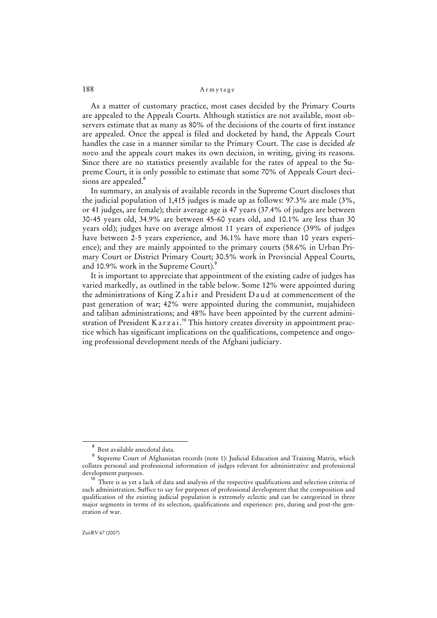As a matter of customary practice, most cases decided by the Primary Courts are appealed to the Appeals Courts. Although statistics are not available, most observers estimate that as many as 80% of the decisions of the courts of first instance are appealed. Once the appeal is filed and docketed by hand, the Appeals Court handles the case in a manner similar to the Primary Court. The case is decided *de novo* and the appeals court makes its own decision, in writing, giving its reasons. Since there are no statistics presently available for the rates of appeal to the Supreme Court, it is only possible to estimate that some 70% of Appeals Court decisions are appealed.<sup>8</sup>

In summary, an analysis of available records in the Supreme Court discloses that the judicial population of 1,415 judges is made up as follows: 97.3% are male (3%, or 41 judges, are female); their average age is 47 years (37.4% of judges are between 30-45 years old, 34.9% are between 45-60 years old, and 10.1% are less than 30 years old); judges have on average almost 11 years of experience (39% of judges have between 2-5 years experience, and 36.1% have more than 10 years experience); and they are mainly appointed to the primary courts (58.6% in Urban Primary Court or District Primary Court; 30.5% work in Provincial Appeal Courts, and 10.9% work in the Supreme Court). $^9$ 

It is important to appreciate that appointment of the existing cadre of judges has varied markedly, as outlined in the table below. Some 12% were appointed during the administrations of King Z a h i r and President  $D$  a u d at commencement of the past generation of war; 42% were appointed during the communist, mujahideen and taliban administrations; and 48% have been appointed by the current administration of President K a r z a i.<sup>10</sup> This history creates diversity in appointment practice which has significant implications on the qualifications, competence and ongoing professional development needs of the Afghani judiciary.

 $\overline{8}$ Best available anecdotal data.

<sup>9</sup> Supreme Court of Afghanistan records (note 1): Judicial Education and Training Matrix, which collates personal and professional information of judges relevant for administrative and professional development purposes.

<sup>&</sup>lt;sup>10</sup> There is as yet a lack of data and analysis of the respective qualifications and selection criteria of each administration. Suffice to say for purposes of professional development that the composition and qualification of the existing judicial population is extremely eclectic and can be categorized in three major segments in terms of its selection, qualifications and experience: pre, during and post-the generation of war.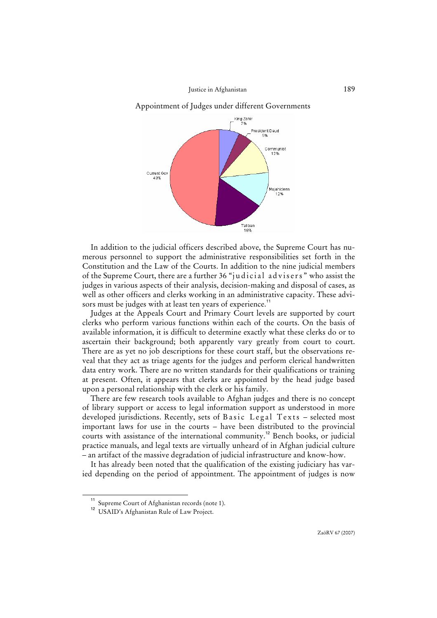Appointment of Judges under different Governments



In addition to the judicial officers described above, the Supreme Court has numerous personnel to support the administrative responsibilities set forth in the Constitution and the Law of the Courts. In addition to the nine judicial members of the Supreme Court, there are a further 36 "judicial advisers" who assist the judges in various aspects of their analysis, decision-making and disposal of cases, as well as other officers and clerks working in an administrative capacity. These advisors must be judges with at least ten years of experience.<sup>11</sup>

Judges at the Appeals Court and Primary Court levels are supported by court clerks who perform various functions within each of the courts. On the basis of available information, it is difficult to determine exactly what these clerks do or to ascertain their background; both apparently vary greatly from court to court. There are as yet no job descriptions for these court staff, but the observations reveal that they act as triage agents for the judges and perform clerical handwritten data entry work. There are no written standards for their qualifications or training at present. Often, it appears that clerks are appointed by the head judge based upon a personal relationship with the clerk or his family.

There are few research tools available to Afghan judges and there is no concept of library support or access to legal information support as understood in more developed jurisdictions. Recently, sets of Basic Legal Texts - selected most important laws for use in the courts – have been distributed to the provincial courts with assistance of the international community.<sup>12</sup> Bench books, or judicial practice manuals, and legal texts are virtually unheard of in Afghan judicial culture – an artifact of the massive degradation of judicial infrastructure and know-how.

It has already been noted that the qualification of the existing judiciary has varied depending on the period of appointment. The appointment of judges is now

<sup>11</sup> Supreme Court of Afghanistan records (note 1).

<sup>&</sup>lt;sup>12</sup> USAID's Afghanistan Rule of Law Project.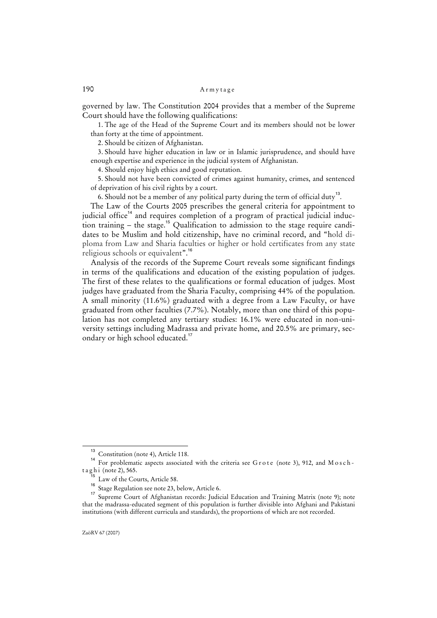governed by law. The Constitution 2004 provides that a member of the Supreme Court should have the following qualifications:

1. The age of the Head of the Supreme Court and its members should not be lower than forty at the time of appointment.

2. Should be citizen of Afghanistan.

3. Should have higher education in law or in Islamic jurisprudence, and should have enough expertise and experience in the judicial system of Afghanistan.

4. Should enjoy high ethics and good reputation.

5. Should not have been convicted of crimes against humanity, crimes, and sentenced of deprivation of his civil rights by a court.

6. Should not be a member of any political party during the term of official duty<sup>13</sup>.

The Law of the Courts 2005 prescribes the general criteria for appointment to judicial office<sup>14</sup> and requires completion of a program of practical judicial induction training – the stage.<sup>15</sup> Qualification to admission to the stage require candidates to be Muslim and hold citizenship, have no criminal record, and "hold diploma from Law and Sharia faculties or higher or hold certificates from any state religious schools or equivalent".<sup>16</sup>

Analysis of the records of the Supreme Court reveals some significant findings in terms of the qualifications and education of the existing population of judges. The first of these relates to the qualifications or formal education of judges. Most judges have graduated from the Sharia Faculty, comprising 44% of the population. A small minority (11.6%) graduated with a degree from a Law Faculty, or have graduated from other faculties (7.7%). Notably, more than one third of this population has not completed any tertiary studies: 16.1% were educated in non-university settings including Madrassa and private home, and 20.5% are primary, secondary or high school educated.<sup>17</sup>

<sup>&</sup>lt;sup>13</sup> Constitution (note 4), Article 118.

<sup>&</sup>lt;sup>14</sup> For problematic aspects associated with the criteria see G r o t e (note 3), 912, and M o s c h  $t$  a g h i (note 2), 565.

Law of the Courts, Article 58.

<sup>16</sup> Stage Regulation see note 23, below, Article 6.

<sup>&</sup>lt;sup>17</sup> Supreme Court of Afghanistan records: Judicial Education and Training Matrix (note 9); note that the madrassa-educated segment of this population is further divisible into Afghani and Pakistani institutions (with different curricula and standards), the proportions of which are not recorded.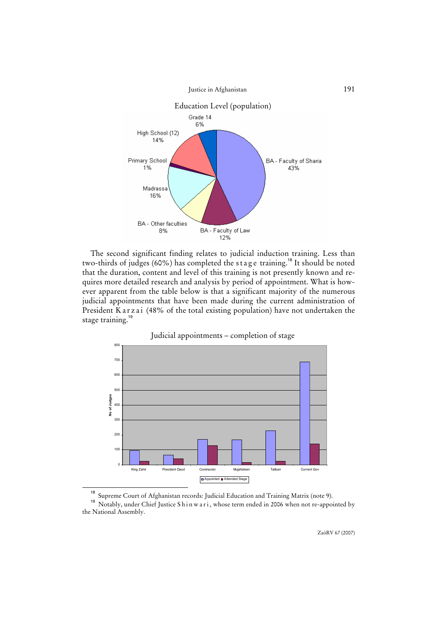

The second significant finding relates to judicial induction training. Less than two-thirds of judges (60%) has completed the stage training.<sup>18</sup> It should be noted that the duration, content and level of this training is not presently known and requires more detailed research and analysis by period of appointment. What is however apparent from the table below is that a significant majority of the numerous judicial appointments that have been made during the current administration of President Karzai (48% of the total existing population) have not undertaken the stage training.<sup>19</sup>



Judicial appointments – completion of stage

<sup>18</sup> Supreme Court of Afghanistan records: Judicial Education and Training Matrix (note 9).

<sup>&</sup>lt;sup>19</sup> Notably, under Chief Justice Sh in w a r i, whose term ended in 2006 when not re-appointed by the National Assembly.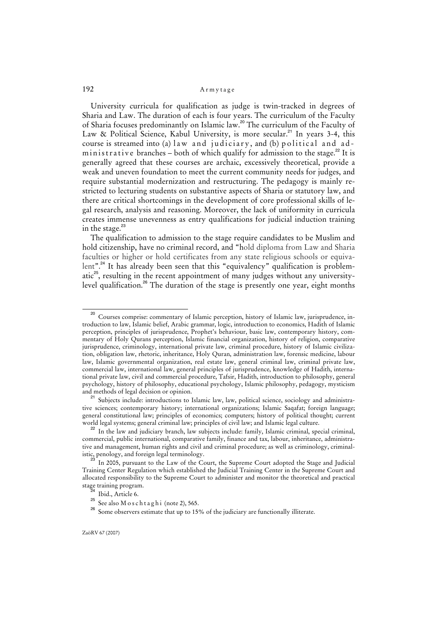University curricula for qualification as judge is twin-tracked in degrees of Sharia and Law. The duration of each is four years. The curriculum of the Faculty of Sharia focuses predominantly on Islamic law.<sup>20</sup> The curriculum of the Faculty of Law & Political Science, Kabul University, is more secular.<sup>21</sup> In years 3-4, this course is streamed into (a) law and judiciary, and (b) political and administrative branches – both of which qualify for admission to the stage.<sup>22</sup> It is generally agreed that these courses are archaic, excessively theoretical, provide a weak and uneven foundation to meet the current community needs for judges, and require substantial modernization and restructuring. The pedagogy is mainly restricted to lecturing students on substantive aspects of Sharia or statutory law, and there are critical shortcomings in the development of core professional skills of legal research, analysis and reasoning. Moreover, the lack of uniformity in curricula creates immense unevenness as entry qualifications for judicial induction training in the stage. $^{23}$ 

The qualification to admission to the stage require candidates to be Muslim and hold citizenship, have no criminal record, and "hold diploma from Law and Sharia faculties or higher or hold certificates from any state religious schools or equivalent".<sup>24</sup> It has already been seen that this "equivalency" qualification is problematic $25$ , resulting in the recent appointment of many judges without any universitylevel qualification.<sup>26</sup> The duration of the stage is presently one year, eight months

<sup>&</sup>lt;sup>20</sup> Courses comprise: commentary of Islamic perception, history of Islamic law, jurisprudence, introduction to law, Islamic belief, Arabic grammar, logic, introduction to economics, Hadith of Islamic perception, principles of jurisprudence, Prophet's behaviour, basic law, contemporary history, commentary of Holy Qurans perception, Islamic financial organization, history of religion, comparative jurisprudence, criminology, international private law, criminal procedure, history of Islamic civilization, obligation law, rhetoric, inheritance, Holy Quran, administration law, forensic medicine, labour law, Islamic governmental organization, real estate law, general criminal law, criminal private law, commercial law, international law, general principles of jurisprudence, knowledge of Hadith, international private law, civil and commercial procedure, Tafsir, Hadith, introduction to philosophy, general psychology, history of philosophy, educational psychology, Islamic philosophy, pedagogy, mysticism and methods of legal decision or opinion.

<sup>&</sup>lt;sup>21</sup> Subjects include: introductions to Islamic law, law, political science, sociology and administrative sciences; contemporary history; international organizations; Islamic Saqafat; foreign language; general constitutional law; principles of economics; computers; history of political thought; current world legal systems; general criminal law; principles of civil law; and Islamic legal culture.

<sup>&</sup>lt;sup>22</sup> In the law and judiciary branch, law subjects include: family, Islamic criminal, special criminal, commercial, public international, comparative family, finance and tax, labour, inheritance, administrative and management, human rights and civil and criminal procedure; as well as criminology, criminalistic, penology, and foreign legal terminology.

In 2005, pursuant to the Law of the Court, the Supreme Court adopted the Stage and Judicial Training Center Regulation which established the Judicial Training Center in the Supreme Court and allocated responsibility to the Supreme Court to administer and monitor the theoretical and practical stage training program.

Ibid., Article 6.

 $25$  See also M o s c h t a g h i (note 2), 565.

<sup>26</sup> Some observers estimate that up to 15% of the judiciary are functionally illiterate.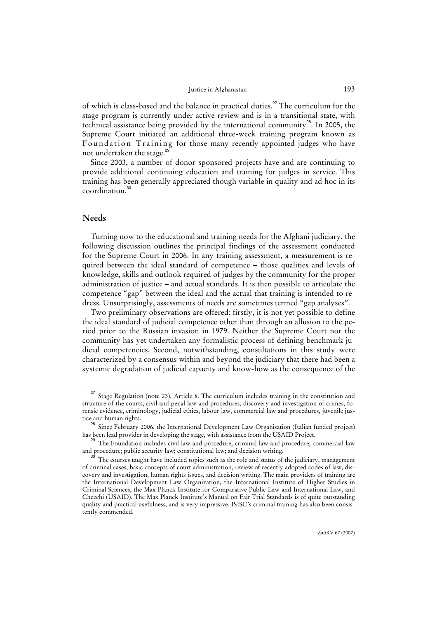of which is class-based and the balance in practical duties.<sup>27</sup> The curriculum for the stage program is currently under active review and is in a transitional state, with technical assistance being provided by the international community<sup>28</sup>. In 2005, the Supreme Court initiated an additional three-week training program known as Foundation Training for those many recently appointed judges who have not undertaken the stage.<sup>2</sup>

Since 2003, a number of donor-sponsored projects have and are continuing to provide additional continuing education and training for judges in service. This training has been generally appreciated though variable in quality and ad hoc in its coordination.<sup>30</sup>

## **Needs**

Turning now to the educational and training needs for the Afghani judiciary, the following discussion outlines the principal findings of the assessment conducted for the Supreme Court in 2006. In any training assessment, a measurement is required between the ideal standard of competence – those qualities and levels of knowledge, skills and outlook required of judges by the community for the proper administration of justice – and actual standards. It is then possible to articulate the competence "gap" between the ideal and the actual that training is intended to redress. Unsurprisingly, assessments of needs are sometimes termed "gap analyses".

Two preliminary observations are offered: firstly, it is not yet possible to define the ideal standard of judicial competence other than through an allusion to the period prior to the Russian invasion in 1979. Neither the Supreme Court nor the community has yet undertaken any formalistic process of defining benchmark judicial competencies. Second, notwithstanding, consultations in this study were characterized by a consensus within and beyond the judiciary that there had been a systemic degradation of judicial capacity and know-how as the consequence of the

<sup>&</sup>lt;sup>27</sup> Stage Regulation (note 23), Article 8. The curriculum includes training in the constitution and structure of the courts, civil and penal law and procedures, discovery and investigation of crimes, forensic evidence, criminology, judicial ethics, labour law, commercial law and procedures, juvenile justice and human rights.

<sup>&</sup>lt;sup>28</sup> Since February 2006, the International Development Law Organisation (Italian funded project) has been lead provider in developing the stage, with assistance from the USAID Project.

The Foundation includes civil law and procedure; criminal law and procedure; commercial law and procedure; public security law; constitutional law; and decision writing.

The courses taught have included topics such as the role and status of the judiciary, management of criminal cases, basic concepts of court administration, review of recently adopted codes of law, discovery and investigation, human rights issues, and decision writing. The main providers of training are the International Development Law Organization, the International Institute of Higher Studies in Criminal Sciences, the Max Planck Institute for Comparative Public Law and International Law, and Checchi (USAID). The Max Planck Institute's Manual on Fair Trial Standards is of quite outstanding quality and practical usefulness, and is very impressive. ISISC's criminal training has also been consistently commended.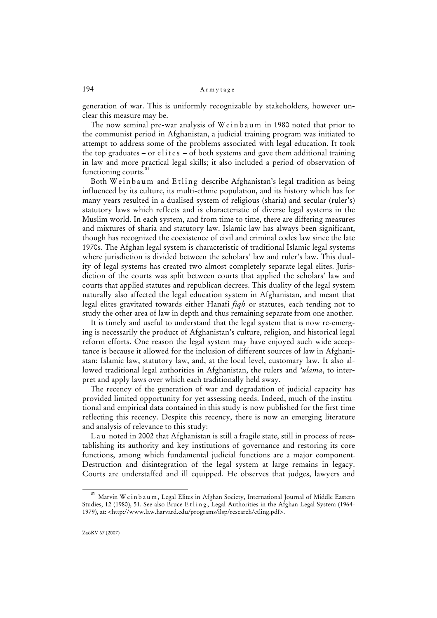generation of war. This is uniformly recognizable by stakeholders, however unclear this measure may be.

The now seminal pre-war analysis of Weinbaum in 1980 noted that prior to the communist period in Afghanistan, a judicial training program was initiated to attempt to address some of the problems associated with legal education. It took the top graduates – or elites – of both systems and gave them additional training in law and more practical legal skills; it also included a period of observation of functioning courts.<sup>31</sup>

Both Weinbaum and Etling describe Afghanistan's legal tradition as being influenced by its culture, its multi-ethnic population, and its history which has for many years resulted in a dualised system of religious (sharia) and secular (ruler's) statutory laws which reflects and is characteristic of diverse legal systems in the Muslim world. In each system, and from time to time, there are differing measures and mixtures of sharia and statutory law. Islamic law has always been significant, though has recognized the coexistence of civil and criminal codes law since the late 1970s. The Afghan legal system is characteristic of traditional Islamic legal systems where jurisdiction is divided between the scholars' law and ruler's law. This duality of legal systems has created two almost completely separate legal elites. Jurisdiction of the courts was split between courts that applied the scholars' law and courts that applied statutes and republican decrees. This duality of the legal system naturally also affected the legal education system in Afghanistan, and meant that legal elites gravitated towards either Hanafi *fiqh* or statutes, each tending not to study the other area of law in depth and thus remaining separate from one another.

It is timely and useful to understand that the legal system that is now re-emerging is necessarily the product of Afghanistan's culture, religion, and historical legal reform efforts. One reason the legal system may have enjoyed such wide acceptance is because it allowed for the inclusion of different sources of law in Afghanistan: Islamic law, statutory law, and, at the local level, customary law. It also allowed traditional legal authorities in Afghanistan, the rulers and *'ulama*, to interpret and apply laws over which each traditionally held sway.

The recency of the generation of war and degradation of judicial capacity has provided limited opportunity for yet assessing needs. Indeed, much of the institutional and empirical data contained in this study is now published for the first time reflecting this recency. Despite this recency, there is now an emerging literature and analysis of relevance to this study:

L a u noted in 2002 that Afghanistan is still a fragile state, still in process of reestablishing its authority and key institutions of governance and restoring its core functions, among which fundamental judicial functions are a major component. Destruction and disintegration of the legal system at large remains in legacy. Courts are understaffed and ill equipped. He observes that judges, lawyers and

<sup>&</sup>lt;sup>31</sup> Marvin W e in b a u m, Legal Elites in Afghan Society, International Journal of Middle Eastern Studies, 12 (1980), 51. See also Bruce E t l i n g, Legal Authorities in the Afghan Legal System (1964-1979), at: <http://www.law.harvard.edu/programs/ilsp/research/etling.pdf>.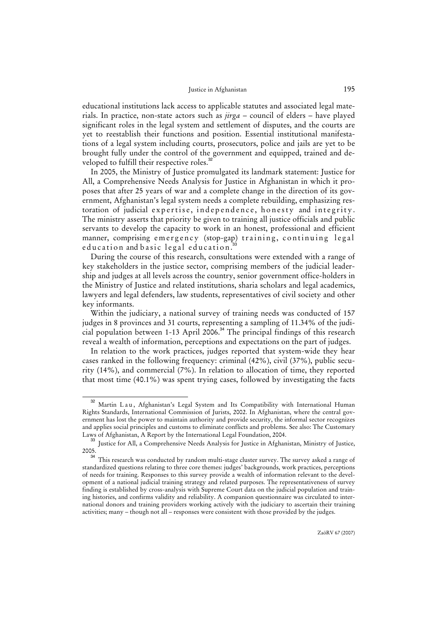educational institutions lack access to applicable statutes and associated legal materials. In practice, non-state actors such as *jirga* – council of elders – have played significant roles in the legal system and settlement of disputes, and the courts are yet to reestablish their functions and position. Essential institutional manifestations of a legal system including courts, prosecutors, police and jails are yet to be brought fully under the control of the government and equipped, trained and developed to fulfill their respective roles.<sup>3</sup>

In 2005, the Ministry of Justice promulgated its landmark statement: Justice for All, a Comprehensive Needs Analysis for Justice in Afghanistan in which it proposes that after 25 years of war and a complete change in the direction of its government, Afghanistan's legal system needs a complete rebuilding, emphasizing restoration of judicial expertise, independence, honesty and integrity. The ministry asserts that priority be given to training all justice officials and public servants to develop the capacity to work in an honest, professional and efficient manner, comprising emergency (stop-gap) training, continuing legal education and basic legal education.<sup>3</sup>

During the course of this research, consultations were extended with a range of key stakeholders in the justice sector, comprising members of the judicial leadership and judges at all levels across the country, senior government office-holders in the Ministry of Justice and related institutions, sharia scholars and legal academics, lawyers and legal defenders, law students, representatives of civil society and other key informants.

Within the judiciary, a national survey of training needs was conducted of 157 judges in 8 provinces and 31 courts, representing a sampling of 11.34% of the judicial population between 1-13 April 2006.<sup>34</sup> The principal findings of this research reveal a wealth of information, perceptions and expectations on the part of judges.

In relation to the work practices, judges reported that system-wide they hear cases ranked in the following frequency: criminal (42%), civil (37%), public security (14%), and commercial (7%). In relation to allocation of time, they reported that most time (40.1%) was spent trying cases, followed by investigating the facts

<sup>&</sup>lt;sup>32</sup> Martin L a u, Afghanistan's Legal System and Its Compatibility with International Human Rights Standards, International Commission of Jurists, 2002. In Afghanistan, where the central government has lost the power to maintain authority and provide security, the informal sector recognizes and applies social principles and customs to eliminate conflicts and problems. See also: The Customary Laws of Afghanistan, A Report by the International Legal Foundation, 2004.

Justice for All, a Comprehensive Needs Analysis for Justice in Afghanistan, Ministry of Justice, 2005.

This research was conducted by random multi-stage cluster survey. The survey asked a range of standardized questions relating to three core themes: judges' backgrounds, work practices, perceptions of needs for training. Responses to this survey provide a wealth of information relevant to the development of a national judicial training strategy and related purposes. The representativeness of survey finding is established by cross-analysis with Supreme Court data on the judicial population and training histories, and confirms validity and reliability. A companion questionnaire was circulated to international donors and training providers working actively with the judiciary to ascertain their training activities; many – though not all – responses were consistent with those provided by the judges.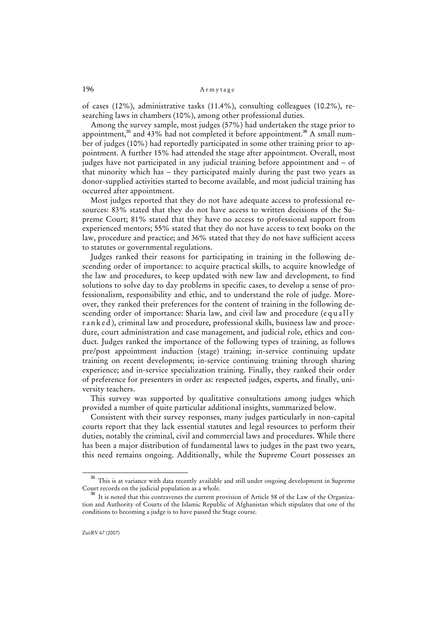of cases (12%), administrative tasks (11.4%), consulting colleagues (10.2%), researching laws in chambers (10%), among other professional duties.

Among the survey sample, most judges (57%) had undertaken the stage prior to appointment,<sup>35</sup> and 43% had not completed it before appointment.<sup>36</sup> A small number of judges (10%) had reportedly participated in some other training prior to appointment. A further 15% had attended the stage after appointment. Overall, most judges have not participated in any judicial training before appointment and – of that minority which has – they participated mainly during the past two years as donor-supplied activities started to become available, and most judicial training has occurred after appointment.

Most judges reported that they do not have adequate access to professional resources: 83% stated that they do not have access to written decisions of the Supreme Court; 81% stated that they have no access to professional support from experienced mentors; 55% stated that they do not have access to text books on the law, procedure and practice; and 36% stated that they do not have sufficient access to statutes or governmental regulations.

Judges ranked their reasons for participating in training in the following descending order of importance: to acquire practical skills, to acquire knowledge of the law and procedures, to keep updated with new law and development, to find solutions to solve day to day problems in specific cases, to develop a sense of professionalism, responsibility and ethic, and to understand the role of judge. Moreover, they ranked their preferences for the content of training in the following descending order of importance: Sharia law, and civil law and procedure (equally r a n k e d ), criminal law and procedure, professional skills, business law and procedure, court administration and case management, and judicial role, ethics and conduct. Judges ranked the importance of the following types of training, as follows pre/post appointment induction (stage) training; in-service continuing update training on recent developments; in-service continuing training through sharing experience; and in-service specialization training. Finally, they ranked their order of preference for presenters in order as: respected judges, experts, and finally, university teachers.

This survey was supported by qualitative consultations among judges which provided a number of quite particular additional insights, summarized below.

Consistent with their survey responses, many judges particularly in non-capital courts report that they lack essential statutes and legal resources to perform their duties, notably the criminal, civil and commercial laws and procedures. While there has been a major distribution of fundamental laws to judges in the past two years, this need remains ongoing. Additionally, while the Supreme Court possesses an

<sup>&</sup>lt;sup>35</sup> This is at variance with data recently available and still under ongoing development in Supreme Court records on the judicial population as a whole.

<sup>&</sup>lt;sup>36</sup> It is noted that this contravenes the current provision of Article 58 of the Law of the Organization and Authority of Courts of the Islamic Republic of Afghanistan which stipulates that one of the conditions to becoming a judge is to have passed the Stage course.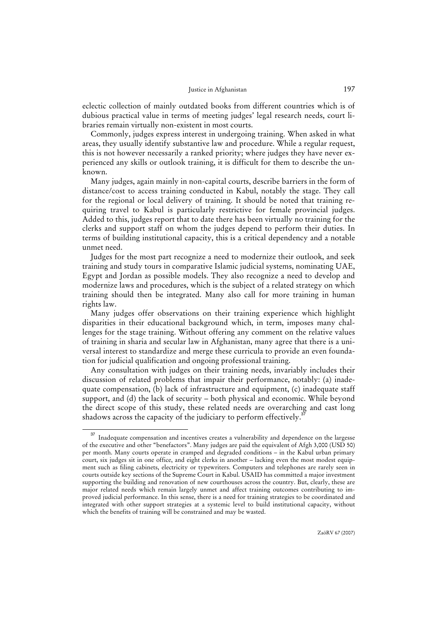eclectic collection of mainly outdated books from different countries which is of dubious practical value in terms of meeting judges' legal research needs, court libraries remain virtually non-existent in most courts.

Commonly, judges express interest in undergoing training. When asked in what areas, they usually identify substantive law and procedure. While a regular request, this is not however necessarily a ranked priority; where judges they have never experienced any skills or outlook training, it is difficult for them to describe the unknown.

Many judges, again mainly in non-capital courts, describe barriers in the form of distance/cost to access training conducted in Kabul, notably the stage. They call for the regional or local delivery of training. It should be noted that training requiring travel to Kabul is particularly restrictive for female provincial judges. Added to this, judges report that to date there has been virtually no training for the clerks and support staff on whom the judges depend to perform their duties. In terms of building institutional capacity, this is a critical dependency and a notable unmet need.

Judges for the most part recognize a need to modernize their outlook, and seek training and study tours in comparative Islamic judicial systems, nominating UAE, Egypt and Jordan as possible models. They also recognize a need to develop and modernize laws and procedures, which is the subject of a related strategy on which training should then be integrated. Many also call for more training in human rights law.

Many judges offer observations on their training experience which highlight disparities in their educational background which, in term, imposes many challenges for the stage training. Without offering any comment on the relative values of training in sharia and secular law in Afghanistan, many agree that there is a universal interest to standardize and merge these curricula to provide an even foundation for judicial qualification and ongoing professional training.

Any consultation with judges on their training needs, invariably includes their discussion of related problems that impair their performance, notably: (a) inadequate compensation, (b) lack of infrastructure and equipment, (c) inadequate staff support, and (d) the lack of security – both physical and economic. While beyond the direct scope of this study, these related needs are overarching and cast long shadows across the capacity of the judiciary to perform effectively.<sup>3</sup>

<sup>&</sup>lt;sup>37</sup> Inadequate compensation and incentives creates a vulnerability and dependence on the largesse of the executive and other "benefactors". Many judges are paid the equivalent of Afgh 3,000 (USD 50) per month. Many courts operate in cramped and degraded conditions – in the Kabul urban primary court, six judges sit in one office, and eight clerks in another – lacking even the most modest equipment such as filing cabinets, electricity or typewriters. Computers and telephones are rarely seen in courts outside key sections of the Supreme Court in Kabul. USAID has committed a major investment supporting the building and renovation of new courthouses across the country. But, clearly, these are major related needs which remain largely unmet and affect training outcomes contributing to improved judicial performance. In this sense, there is a need for training strategies to be coordinated and integrated with other support strategies at a systemic level to build institutional capacity, without which the benefits of training will be constrained and may be wasted.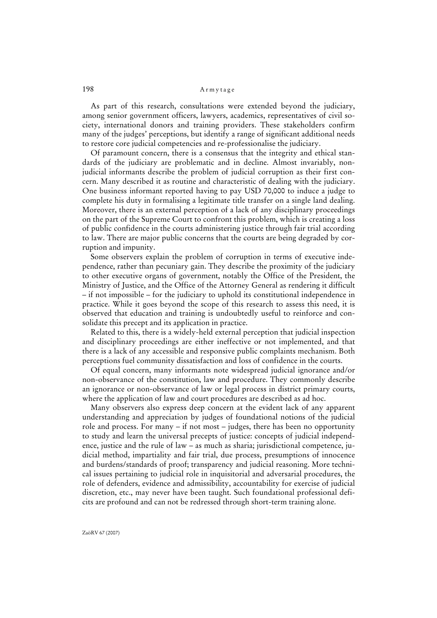As part of this research, consultations were extended beyond the judiciary, among senior government officers, lawyers, academics, representatives of civil society, international donors and training providers. These stakeholders confirm many of the judges' perceptions, but identify a range of significant additional needs to restore core judicial competencies and re-professionalise the judiciary.

Of paramount concern, there is a consensus that the integrity and ethical standards of the judiciary are problematic and in decline. Almost invariably, nonjudicial informants describe the problem of judicial corruption as their first concern. Many described it as routine and characteristic of dealing with the judiciary. One business informant reported having to pay USD 70,000 to induce a judge to complete his duty in formalising a legitimate title transfer on a single land dealing. Moreover, there is an external perception of a lack of any disciplinary proceedings on the part of the Supreme Court to confront this problem, which is creating a loss of public confidence in the courts administering justice through fair trial according to law. There are major public concerns that the courts are being degraded by corruption and impunity.

Some observers explain the problem of corruption in terms of executive independence, rather than pecuniary gain. They describe the proximity of the judiciary to other executive organs of government, notably the Office of the President, the Ministry of Justice, and the Office of the Attorney General as rendering it difficult – if not impossible – for the judiciary to uphold its constitutional independence in practice. While it goes beyond the scope of this research to assess this need, it is observed that education and training is undoubtedly useful to reinforce and consolidate this precept and its application in practice.

Related to this, there is a widely-held external perception that judicial inspection and disciplinary proceedings are either ineffective or not implemented, and that there is a lack of any accessible and responsive public complaints mechanism. Both perceptions fuel community dissatisfaction and loss of confidence in the courts.

Of equal concern, many informants note widespread judicial ignorance and/or non-observance of the constitution, law and procedure. They commonly describe an ignorance or non-observance of law or legal process in district primary courts, where the application of law and court procedures are described as ad hoc.

Many observers also express deep concern at the evident lack of any apparent understanding and appreciation by judges of foundational notions of the judicial role and process. For many – if not most – judges, there has been no opportunity to study and learn the universal precepts of justice: concepts of judicial independence, justice and the rule of law – as much as sharia; jurisdictional competence, judicial method, impartiality and fair trial, due process, presumptions of innocence and burdens/standards of proof; transparency and judicial reasoning. More technical issues pertaining to judicial role in inquisitorial and adversarial procedures, the role of defenders, evidence and admissibility, accountability for exercise of judicial discretion, etc., may never have been taught. Such foundational professional deficits are profound and can not be redressed through short-term training alone.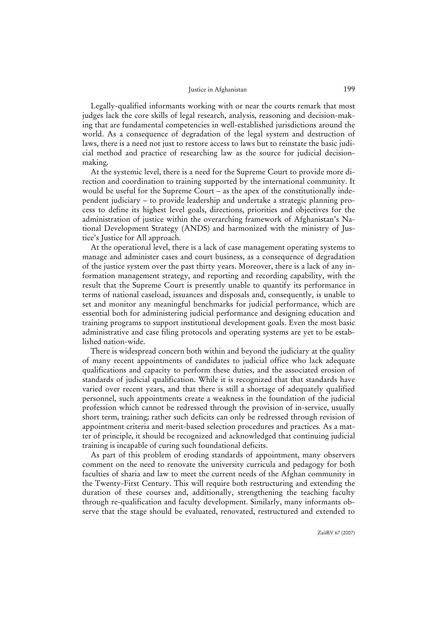Legally-qualified informants working with or near the courts remark that most judges lack the core skills of legal research, analysis, reasoning and decision-making that are fundamental competencies in well-established jurisdictions around the world. As a consequence of degradation of the legal system and destruction of laws, there is a need not just to restore access to laws but to reinstate the basic judicial method and practice of researching law as the source for judicial decisionmaking.

At the systemic level, there is a need for the Supreme Court to provide more direction and coordination to training supported by the international community. It would be useful for the Supreme Court – as the apex of the constitutionally independent judiciary – to provide leadership and undertake a strategic planning process to define its highest level goals, directions, priorities and objectives for the administration of justice within the overarching framework of Afghanistan's National Development Strategy (ANDS) and harmonized with the ministry of Justice's Justice for All approach.

At the operational level, there is a lack of case management operating systems to manage and administer cases and court business, as a consequence of degradation of the justice system over the past thirty years. Moreover, there is a lack of any information management strategy, and reporting and recording capability, with the result that the Supreme Court is presently unable to quantify its performance in terms of national caseload, issuances and disposals and, consequently, is unable to set and monitor any meaningful benchmarks for judicial performance, which are essential both for administering judicial performance and designing education and training programs to support institutional development goals. Even the most basic administrative and case filing protocols and operating systems are yet to be established nation-wide.

There is widespread concern both within and beyond the judiciary at the quality of many recent appointments of candidates to judicial office who lack adequate qualifications and capacity to perform these duties, and the associated erosion of standards of judicial qualification. While it is recognized that that standards have varied over recent years, and that there is still a shortage of adequately qualified personnel, such appointments create a weakness in the foundation of the judicial profession which cannot be redressed through the provision of in-service, usually short term, training; rather such deficits can only be redressed through revision of appointment criteria and merit-based selection procedures and practices*.* As a matter of principle, it should be recognized and acknowledged that continuing judicial training is incapable of curing such foundational deficits.

As part of this problem of eroding standards of appointment, many observers comment on the need to renovate the university curricula and pedagogy for both faculties of sharia and law to meet the current needs of the Afghan community in the Twenty-First Century. This will require both restructuring and extending the duration of these courses and, additionally, strengthening the teaching faculty through re-qualification and faculty development. Similarly, many informants observe that the stage should be evaluated, renovated, restructured and extended to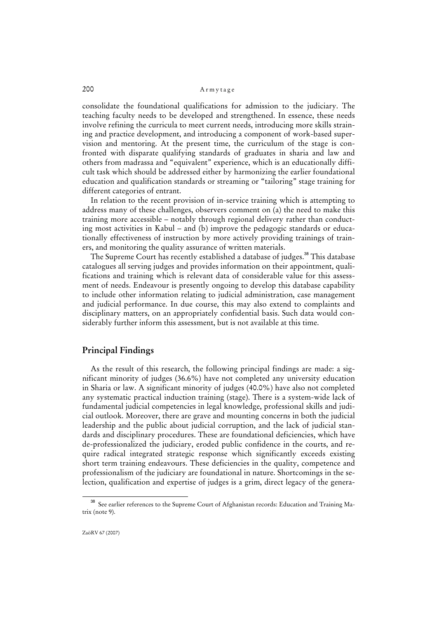consolidate the foundational qualifications for admission to the judiciary. The teaching faculty needs to be developed and strengthened. In essence, these needs involve refining the curricula to meet current needs, introducing more skills straining and practice development, and introducing a component of work-based supervision and mentoring. At the present time, the curriculum of the stage is confronted with disparate qualifying standards of graduates in sharia and law and others from madrassa and "equivalent" experience, which is an educationally difficult task which should be addressed either by harmonizing the earlier foundational education and qualification standards or streaming or "tailoring" stage training for different categories of entrant.

In relation to the recent provision of in-service training which is attempting to address many of these challenges, observers comment on (a) the need to make this training more accessible – notably through regional delivery rather than conducting most activities in Kabul – and (b) improve the pedagogic standards or educationally effectiveness of instruction by more actively providing trainings of trainers, and monitoring the quality assurance of written materials.

The Supreme Court has recently established a database of judges.<sup>38</sup> This database catalogues all serving judges and provides information on their appointment, qualifications and training which is relevant data of considerable value for this assessment of needs. Endeavour is presently ongoing to develop this database capability to include other information relating to judicial administration, case management and judicial performance. In due course, this may also extend to complaints and disciplinary matters, on an appropriately confidential basis. Such data would considerably further inform this assessment, but is not available at this time.

## **Principal Findings**

As the result of this research, the following principal findings are made: a significant minority of judges (36.6%) have not completed any university education in Sharia or law. A significant minority of judges (40.0%) have also not completed any systematic practical induction training (stage). There is a system-wide lack of fundamental judicial competencies in legal knowledge, professional skills and judicial outlook. Moreover, there are grave and mounting concerns in both the judicial leadership and the public about judicial corruption, and the lack of judicial standards and disciplinary procedures. These are foundational deficiencies, which have de-professionalized the judiciary, eroded public confidence in the courts, and require radical integrated strategic response which significantly exceeds existing short term training endeavours. These deficiencies in the quality, competence and professionalism of the judiciary are foundational in nature. Shortcomings in the selection, qualification and expertise of judges is a grim, direct legacy of the genera-

<sup>38</sup> See earlier references to the Supreme Court of Afghanistan records: Education and Training Matrix (note 9).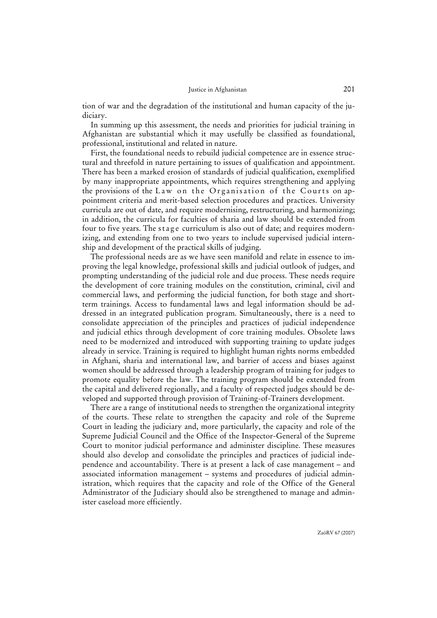tion of war and the degradation of the institutional and human capacity of the judiciary.

In summing up this assessment, the needs and priorities for judicial training in Afghanistan are substantial which it may usefully be classified as foundational, professional, institutional and related in nature.

First, the foundational needs to rebuild judicial competence are in essence structural and threefold in nature pertaining to issues of qualification and appointment. There has been a marked erosion of standards of judicial qualification, exemplified by many inappropriate appointments, which requires strengthening and applying the provisions of the Law on the Organisation of the Courts on appointment criteria and merit-based selection procedures and practices. University curricula are out of date, and require modernising, restructuring, and harmonizing; in addition, the curricula for faculties of sharia and law should be extended from four to five years. The stage curriculum is also out of date; and requires modernizing, and extending from one to two years to include supervised judicial internship and development of the practical skills of judging.

The professional needs are as we have seen manifold and relate in essence to improving the legal knowledge, professional skills and judicial outlook of judges, and prompting understanding of the judicial role and due process. These needs require the development of core training modules on the constitution, criminal, civil and commercial laws, and performing the judicial function, for both stage and shortterm trainings. Access to fundamental laws and legal information should be addressed in an integrated publication program. Simultaneously, there is a need to consolidate appreciation of the principles and practices of judicial independence and judicial ethics through development of core training modules. Obsolete laws need to be modernized and introduced with supporting training to update judges already in service. Training is required to highlight human rights norms embedded in Afghani, sharia and international law, and barrier of access and biases against women should be addressed through a leadership program of training for judges to promote equality before the law. The training program should be extended from the capital and delivered regionally, and a faculty of respected judges should be developed and supported through provision of Training-of-Trainers development.

There are a range of institutional needs to strengthen the organizational integrity of the courts. These relate to strengthen the capacity and role of the Supreme Court in leading the judiciary and, more particularly, the capacity and role of the Supreme Judicial Council and the Office of the Inspector-General of the Supreme Court to monitor judicial performance and administer discipline. These measures should also develop and consolidate the principles and practices of judicial independence and accountability. There is at present a lack of case management – and associated information management – systems and procedures of judicial administration, which requires that the capacity and role of the Office of the General Administrator of the Judiciary should also be strengthened to manage and administer caseload more efficiently.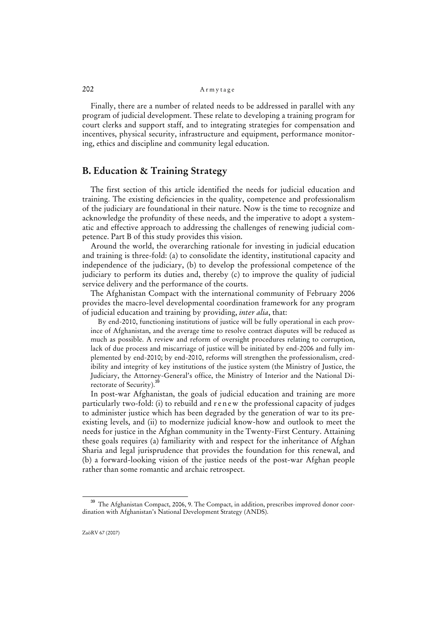Finally, there are a number of related needs to be addressed in parallel with any program of judicial development. These relate to developing a training program for court clerks and support staff, and to integrating strategies for compensation and incentives, physical security, infrastructure and equipment, performance monitoring, ethics and discipline and community legal education.

## **B. Education & Training Strategy**

The first section of this article identified the needs for judicial education and training. The existing deficiencies in the quality, competence and professionalism of the judiciary are foundational in their nature. Now is the time to recognize and acknowledge the profundity of these needs, and the imperative to adopt a systematic and effective approach to addressing the challenges of renewing judicial competence. Part B of this study provides this vision.

Around the world, the overarching rationale for investing in judicial education and training is three-fold: (a) to consolidate the identity, institutional capacity and independence of the judiciary, (b) to develop the professional competence of the judiciary to perform its duties and, thereby (c) to improve the quality of judicial service delivery and the performance of the courts.

The Afghanistan Compact with the international community of February 2006 provides the macro-level developmental coordination framework for any program of judicial education and training by providing, *inter alia*, that:

By end-2010, functioning institutions of justice will be fully operational in each province of Afghanistan, and the average time to resolve contract disputes will be reduced as much as possible. A review and reform of oversight procedures relating to corruption, lack of due process and miscarriage of justice will be initiated by end-2006 and fully implemented by end-2010; by end-2010, reforms will strengthen the professionalism, credibility and integrity of key institutions of the justice system (the Ministry of Justice, the Judiciary, the Attorney-General's office, the Ministry of Interior and the National Directorate of Security).

In post-war Afghanistan, the goals of judicial education and training are more particularly two-fold: (i) to rebuild and r e n e w the professional capacity of judges to administer justice which has been degraded by the generation of war to its preexisting levels, and (ii) to modernize judicial know-how and outlook to meet the needs for justice in the Afghan community in the Twenty-First Century. Attaining these goals requires (a) familiarity with and respect for the inheritance of Afghan Sharia and legal jurisprudence that provides the foundation for this renewal, and (b) a forward-looking vision of the justice needs of the post-war Afghan people rather than some romantic and archaic retrospect.

<sup>&</sup>lt;sup>39</sup> The Afghanistan Compact, 2006, 9. The Compact, in addition, prescribes improved donor coordination with Afghanistan's National Development Strategy (ANDS).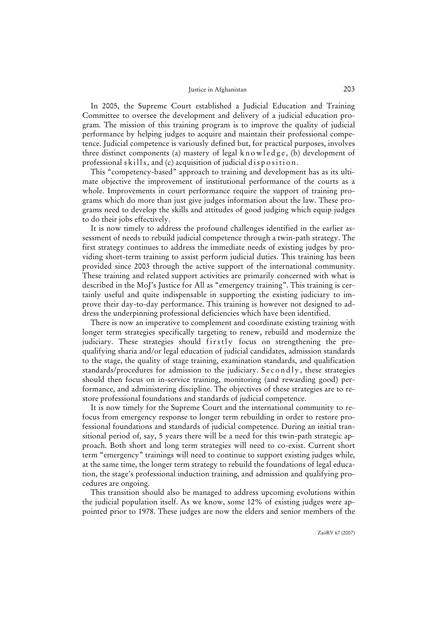In 2005, the Supreme Court established a Judicial Education and Training Committee to oversee the development and delivery of a judicial education program. The mission of this training program is to improve the quality of judicial performance by helping judges to acquire and maintain their professional competence. Judicial competence is variously defined but, for practical purposes, involves three distinct components (a) mastery of legal  $k$  n o w l e d g e, (b) development of professional s kills, and (c) acquisition of judicial d is position.

This "competency-based" approach to training and development has as its ultimate objective the improvement of institutional performance of the courts as a whole. Improvements in court performance require the support of training programs which do more than just give judges information about the law. These programs need to develop the skills and attitudes of good judging which equip judges to do their jobs effectively.

It is now timely to address the profound challenges identified in the earlier assessment of needs to rebuild judicial competence through a twin-path strategy. The first strategy continues to address the immediate needs of existing judges by providing short-term training to assist perform judicial duties. This training has been provided since 2003 through the active support of the international community. These training and related support activities are primarily concerned with what is described in the MoJ's Justice for All as "emergency training". This training is certainly useful and quite indispensable in supporting the existing judiciary to improve their day-to-day performance. This training is however not designed to address the underpinning professional deficiencies which have been identified.

There is now an imperative to complement and coordinate existing training with longer term strategies specifically targeting to renew, rebuild and modernize the judiciary. These strategies should firstly focus on strengthening the prequalifying sharia and/or legal education of judicial candidates, admission standards to the stage, the quality of stage training, examination standards, and qualification standards/procedures for admission to the judiciary. Secondly, these strategies should then focus on in-service training, monitoring (and rewarding good) performance, and administering discipline. The objectives of these strategies are to restore professional foundations and standards of judicial competence.

It is now timely for the Supreme Court and the international community to refocus from emergency response to longer term rebuilding in order to restore professional foundations and standards of judicial competence. During an initial transitional period of, say, 5 years there will be a need for this twin-path strategic approach. Both short and long term strategies will need to co-exist. Current short term "emergency" trainings will need to continue to support existing judges while, at the same time, the longer term strategy to rebuild the foundations of legal education, the stage's professional induction training, and admission and qualifying procedures are ongoing.

This transition should also be managed to address upcoming evolutions within the judicial population itself. As we know, some 12% of existing judges were appointed prior to 1978. These judges are now the elders and senior members of the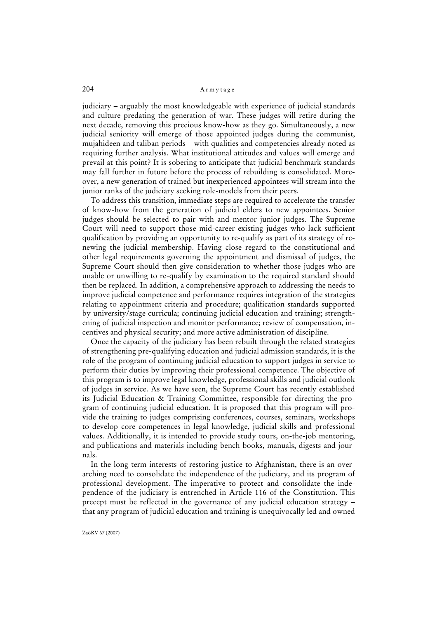judiciary – arguably the most knowledgeable with experience of judicial standards and culture predating the generation of war. These judges will retire during the next decade, removing this precious know-how as they go. Simultaneously, a new judicial seniority will emerge of those appointed judges during the communist, mujahideen and taliban periods – with qualities and competencies already noted as requiring further analysis. What institutional attitudes and values will emerge and prevail at this point? It is sobering to anticipate that judicial benchmark standards may fall further in future before the process of rebuilding is consolidated. Moreover, a new generation of trained but inexperienced appointees will stream into the junior ranks of the judiciary seeking role-models from their peers.

To address this transition, immediate steps are required to accelerate the transfer of know-how from the generation of judicial elders to new appointees. Senior judges should be selected to pair with and mentor junior judges. The Supreme Court will need to support those mid-career existing judges who lack sufficient qualification by providing an opportunity to re-qualify as part of its strategy of renewing the judicial membership. Having close regard to the constitutional and other legal requirements governing the appointment and dismissal of judges, the Supreme Court should then give consideration to whether those judges who are unable or unwilling to re-qualify by examination to the required standard should then be replaced. In addition, a comprehensive approach to addressing the needs to improve judicial competence and performance requires integration of the strategies relating to appointment criteria and procedure; qualification standards supported by university/stage curricula; continuing judicial education and training; strengthening of judicial inspection and monitor performance; review of compensation, incentives and physical security; and more active administration of discipline.

Once the capacity of the judiciary has been rebuilt through the related strategies of strengthening pre-qualifying education and judicial admission standards, it is the role of the program of continuing judicial education to support judges in service to perform their duties by improving their professional competence. The objective of this program is to improve legal knowledge, professional skills and judicial outlook of judges in service. As we have seen, the Supreme Court has recently established its Judicial Education & Training Committee, responsible for directing the program of continuing judicial education. It is proposed that this program will provide the training to judges comprising conferences, courses, seminars, workshops to develop core competences in legal knowledge, judicial skills and professional values. Additionally, it is intended to provide study tours, on-the-job mentoring, and publications and materials including bench books, manuals, digests and journals.

In the long term interests of restoring justice to Afghanistan, there is an overarching need to consolidate the independence of the judiciary, and its program of professional development. The imperative to protect and consolidate the independence of the judiciary is entrenched in Article 116 of the Constitution. This precept must be reflected in the governance of any judicial education strategy – that any program of judicial education and training is unequivocally led and owned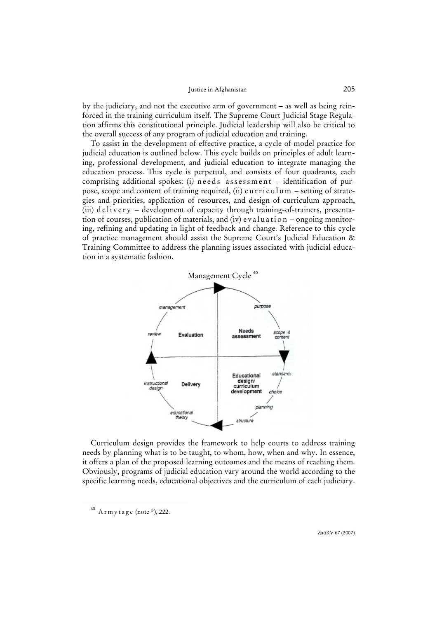by the judiciary, and not the executive arm of government – as well as being reinforced in the training curriculum itself. The Supreme Court Judicial Stage Regulation affirms this constitutional principle. Judicial leadership will also be critical to the overall success of any program of judicial education and training.

To assist in the development of effective practice, a cycle of model practice for judicial education is outlined below. This cycle builds on principles of adult learning, professional development, and judicial education to integrate managing the education process. This cycle is perpetual, and consists of four quadrants, each comprising additional spokes: (i) needs assessment - identification of purpose, scope and content of training required, (ii) curriculum – setting of strategies and priorities, application of resources, and design of curriculum approach, (iii) delivery – development of capacity through training-of-trainers, presentation of courses, publication of materials, and (iv) evaluation – ongoing monitoring, refining and updating in light of feedback and change. Reference to this cycle of practice management should assist the Supreme Court's Judicial Education & Training Committee to address the planning issues associated with judicial education in a systematic fashion.



Curriculum design provides the framework to help courts to address training needs by planning what is to be taught, to whom, how, when and why. In essence, it offers a plan of the proposed learning outcomes and the means of reaching them. Obviously, programs of judicial education vary around the world according to the specific learning needs, educational objectives and the curriculum of each judiciary.

 $40$  A r m y t a g e (note  $*$ ), 222.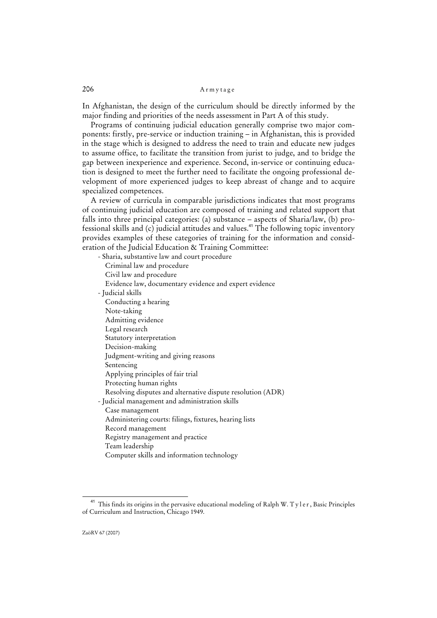In Afghanistan, the design of the curriculum should be directly informed by the major finding and priorities of the needs assessment in Part A of this study.

Programs of continuing judicial education generally comprise two major components: firstly, pre-service or induction training – in Afghanistan, this is provided in the stage which is designed to address the need to train and educate new judges to assume office, to facilitate the transition from jurist to judge, and to bridge the gap between inexperience and experience. Second, in-service or continuing education is designed to meet the further need to facilitate the ongoing professional development of more experienced judges to keep abreast of change and to acquire specialized competences.

A review of curricula in comparable jurisdictions indicates that most programs of continuing judicial education are composed of training and related support that falls into three principal categories: (a) substance – aspects of Sharia/law, (b) professional skills and  $(c)$  judicial attitudes and values.<sup>41</sup> The following topic inventory provides examples of these categories of training for the information and consideration of the Judicial Education & Training Committee:

| - Sharia, substantive law and court procedure               |
|-------------------------------------------------------------|
| Criminal law and procedure                                  |
| Civil law and procedure                                     |
| Evidence law, documentary evidence and expert evidence      |
| - Judicial skills                                           |
| Conducting a hearing                                        |
| Note-taking                                                 |
| Admitting evidence                                          |
| Legal research                                              |
| Statutory interpretation                                    |
| Decision-making                                             |
| Judgment-writing and giving reasons                         |
| Sentencing                                                  |
| Applying principles of fair trial                           |
| Protecting human rights                                     |
| Resolving disputes and alternative dispute resolution (ADR) |
| - Judicial management and administration skills             |
| Case management                                             |
| Administering courts: filings, fixtures, hearing lists      |
| Record management                                           |
| Registry management and practice                            |
| Team leadership                                             |
| Computer skills and information technology                  |

<sup>&</sup>lt;sup>41</sup> This finds its origins in the pervasive educational modeling of Ralph W. T y l e r, Basic Principles of Curriculum and Instruction, Chicago 1949.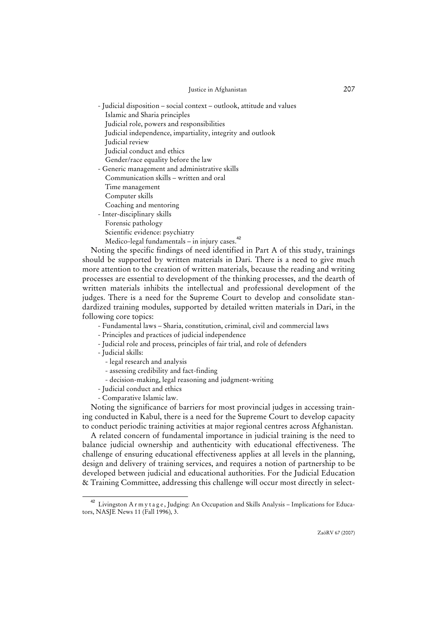- Judicial disposition – social context – outlook, attitude and values Islamic and Sharia principles

- Judicial role, powers and responsibilities
- Judicial independence, impartiality, integrity and outlook

Judicial review

Judicial conduct and ethics

Gender/race equality before the law

- Generic management and administrative skills

Communication skills – written and oral

Time management

Computer skills

Coaching and mentoring

- Inter-disciplinary skills

Forensic pathology

Scientific evidence: psychiatry

Medico-legal fundamentals - in injury cases.<sup>42</sup>

Noting the specific findings of need identified in Part A of this study, trainings should be supported by written materials in Dari. There is a need to give much more attention to the creation of written materials, because the reading and writing processes are essential to development of the thinking processes, and the dearth of written materials inhibits the intellectual and professional development of the judges. There is a need for the Supreme Court to develop and consolidate standardized training modules, supported by detailed written materials in Dari, in the following core topics:

- Fundamental laws – Sharia, constitution, criminal, civil and commercial laws

- Principles and practices of judicial independence

- Judicial role and process, principles of fair trial, and role of defenders

- Judicial skills:

- legal research and analysis

- assessing credibility and fact-finding

- decision-making, legal reasoning and judgment-writing
- Judicial conduct and ethics
- Comparative Islamic law.

Noting the significance of barriers for most provincial judges in accessing training conducted in Kabul, there is a need for the Supreme Court to develop capacity to conduct periodic training activities at major regional centres across Afghanistan.

A related concern of fundamental importance in judicial training is the need to balance judicial ownership and authenticity with educational effectiveness. The challenge of ensuring educational effectiveness applies at all levels in the planning, design and delivery of training services, and requires a notion of partnership to be developed between judicial and educational authorities. For the Judicial Education & Training Committee, addressing this challenge will occur most directly in select-

<sup>42</sup> Livingston A r m y t a g e , Judging: An Occupation and Skills Analysis – Implications for Educators, NASJE News 11 (Fall 1996), 3.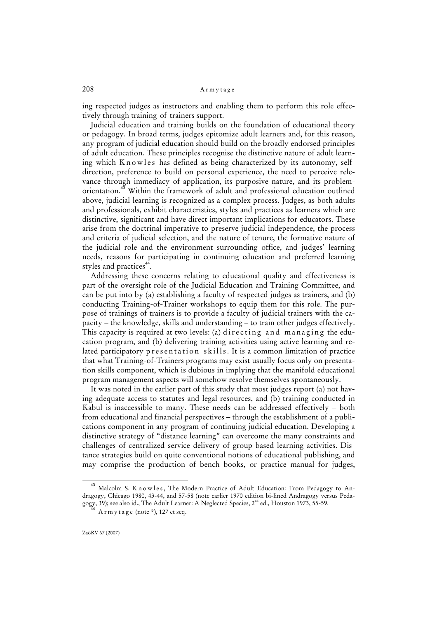ing respected judges as instructors and enabling them to perform this role effectively through training-of-trainers support.

Judicial education and training builds on the foundation of educational theory or pedagogy. In broad terms, judges epitomize adult learners and, for this reason, any program of judicial education should build on the broadly endorsed principles of adult education. These principles recognise the distinctive nature of adult learning which  $K$  n o w les has defined as being characterized by its autonomy, selfdirection, preference to build on personal experience, the need to perceive relevance through immediacy of application, its purposive nature, and its problemorientation.<sup>43</sup> Within the framework of adult and professional education outlined above, judicial learning is recognized as a complex process. Judges, as both adults and professionals, exhibit characteristics, styles and practices as learners which are distinctive, significant and have direct important implications for educators. These arise from the doctrinal imperative to preserve judicial independence, the process and criteria of judicial selection, and the nature of tenure, the formative nature of the judicial role and the environment surrounding office, and judges' learning needs, reasons for participating in continuing education and preferred learning styles and practices<sup>44</sup> .

Addressing these concerns relating to educational quality and effectiveness is part of the oversight role of the Judicial Education and Training Committee, and can be put into by (a) establishing a faculty of respected judges as trainers, and (b) conducting Training-of-Trainer workshops to equip them for this role. The purpose of trainings of trainers is to provide a faculty of judicial trainers with the capacity – the knowledge, skills and understanding – to train other judges effectively. This capacity is required at two levels: (a) directing and managing the education program, and (b) delivering training activities using active learning and related participatory presentation skills. It is a common limitation of practice that what Training-of-Trainers programs may exist usually focus only on presentation skills component, which is dubious in implying that the manifold educational program management aspects will somehow resolve themselves spontaneously.

It was noted in the earlier part of this study that most judges report (a) not having adequate access to statutes and legal resources, and (b) training conducted in Kabul is inaccessible to many. These needs can be addressed effectively – both from educational and financial perspectives – through the establishment of a publications component in any program of continuing judicial education. Developing a distinctive strategy of "distance learning" can overcome the many constraints and challenges of centralized service delivery of group-based learning activities. Distance strategies build on quite conventional notions of educational publishing, and may comprise the production of bench books, or practice manual for judges,

Malcolm S. K n o w l e s, The Modern Practice of Adult Education: From Pedagogy to Andragogy, Chicago 1980, 43-44, and 57-58 (note earlier 1970 edition bi-lined Andragogy versus Pedagogy, 39); see also id., The Adult Learner: A Neglected Species, 2<sup>nd</sup> ed., Houston 1973, 55-59.

 $A$  r m y t a g e (note  $\frac{*}{2}$ ), 127 et seq.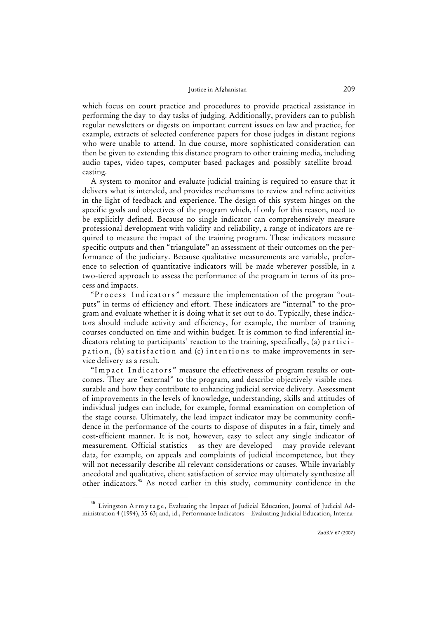which focus on court practice and procedures to provide practical assistance in performing the day-to-day tasks of judging. Additionally, providers can to publish regular newsletters or digests on important current issues on law and practice, for example, extracts of selected conference papers for those judges in distant regions who were unable to attend. In due course, more sophisticated consideration can then be given to extending this distance program to other training media, including audio-tapes, video-tapes, computer-based packages and possibly satellite broadcasting.

A system to monitor and evaluate judicial training is required to ensure that it delivers what is intended, and provides mechanisms to review and refine activities in the light of feedback and experience. The design of this system hinges on the specific goals and objectives of the program which, if only for this reason, need to be explicitly defined. Because no single indicator can comprehensively measure professional development with validity and reliability, a range of indicators are required to measure the impact of the training program. These indicators measure specific outputs and then "triangulate" an assessment of their outcomes on the performance of the judiciary. Because qualitative measurements are variable, preference to selection of quantitative indicators will be made wherever possible, in a two-tiered approach to assess the performance of the program in terms of its process and impacts.

"P rocess Indicators" measure the implementation of the program "outputs" in terms of efficiency and effort. These indicators are "internal" to the program and evaluate whether it is doing what it set out to do. Typically, these indicators should include activity and efficiency, for example, the number of training courses conducted on time and within budget. It is common to find inferential indicators relating to participants' reaction to the training, specifically, (a) participation, (b) satisfaction and (c) intentions to make improvements in service delivery as a result.

"Impact Indicators" measure the effectiveness of program results or outcomes. They are "external" to the program, and describe objectively visible measurable and how they contribute to enhancing judicial service delivery. Assessment of improvements in the levels of knowledge, understanding, skills and attitudes of individual judges can include, for example, formal examination on completion of the stage course. Ultimately, the lead impact indicator may be community confidence in the performance of the courts to dispose of disputes in a fair, timely and cost-efficient manner. It is not, however, easy to select any single indicator of measurement. Official statistics – as they are developed – may provide relevant data, for example, on appeals and complaints of judicial incompetence, but they will not necessarily describe all relevant considerations or causes. While invariably anecdotal and qualitative, client satisfaction of service may ultimately synthesize all other indicators.<sup>45</sup> As noted earlier in this study, community confidence in the

<sup>&</sup>lt;sup>45</sup> Livingston Armytage, Evaluating the Impact of Judicial Education, Journal of Judicial Administration 4 (1994), 35-63; and, id., Performance Indicators – Evaluating Judicial Education, Interna-